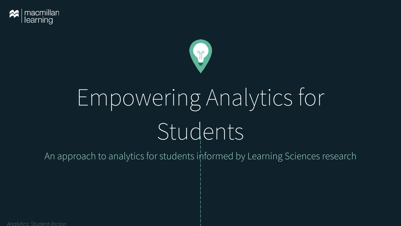



# Empowering Analytics for Students

An approach to analytics for students informed by Learning Sciences research

*Analytics: Student-facing*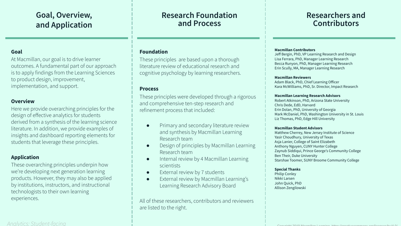## **Goal, Overview, and Application**

#### **Goal**

At Macmillan, our goal is to drive learner outcomes. A fundamental part of our approach is to apply findings from the Learning Sciences to product design, improvement, implementation, and support.

#### **Overview**

Here we provide overarching principles for the design of effective analytics for students derived from a synthesis of the learning science literature. In addition, we provide examples of insights and dashboard reporting elements for students that leverage these principles.

#### **Application**

These overarching principles underpin how we're developing next generation learning products. However, they may also be applied by institutions, instructors, and instructional technologists to their own learning experiences.

#### *Analytics: Student-facing* Copyright 2019 Macmillan Learning. h[ttps://creativecommons.org/licenses/by/4.0/](https://creativecommons.org/licenses/by/4.0/)

### **Research Foundation and Process**

#### **Foundation**

These principles are based upon a thorough literature review of educational research and cognitive psychology by learning researchers.

#### **Process**

These principles were developed through a rigorous and comprehensive ten-step research and refinement process that included:

- Primary and secondary literature review and synthesis by Macmillan Learning Research team
- Design of principles by Macmillan Learning Research team
- Internal review by 4 Macmillan Learning scientists
- External review by 7 students
- External review by Macmillan Learning's Learning Research Advisory Board

All of these researchers, contributors and reviewers are listed to the right.

### **Researchers and Contributors**

#### **Macmillan Contributors**

Jeff Bergin, PhD, VP Learning Research and Design Lisa Ferrara, PhD, Manager Learning Research Becca Runyon, PhD, Manager Learning Research Erin Scully, MA, Manager Learning Research

#### **Macmillan Reviewers**

Adam Black, PhD, Chief Learning Officer Kara McWilliams, PhD, Sr. Director, Impact Research

#### **Macmillan Learning Research Advisors**

Robert Atkinson, PhD, Arizona State University Chris Dede, EdD, Harvard Erin Dolan, PhD, University of Georgia Mark McDaniel, PhD, Washington University in St. Louis Liz Thomas, PhD, Edge Hill University

#### **Macmillan Student Advisors**

Matthew Cherrey, New Jersey Institute of Science Yasir Choudhury, University of Texas Asja Lanier, College of Saint Elizabeth Anthony Nguyen, CUNY Hunter College Zaynub Siddiqui, Prince George's Community College Ben Their, Duke University Starshae Toomer, SUNY Broome Community College

#### **Special Thanks**

Philip Conley Nikki Larsen John Quick, PhD Allison Zengilowski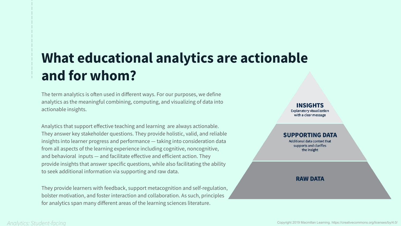# **What educational analytics are actionable and for whom?**

The term analytics is often used in different ways. For our purposes, we define analytics as the meaningful combining, computing, and visualizing of data into actionable insights.

Analytics that support effective teaching and learning are always actionable. They answer key stakeholder questions. They provide holistic, valid, and reliable insights into learner progress and performance — taking into consideration data from all aspects of the learning experience including cognitive, noncognitive, and behavioral inputs — and facilitate effective and efficient action. They provide insights that answer specific questions, while also facilitating the ability to seek additional information via supporting and raw data.

They provide learners with feedback, support metacognition and self-regulation, bolster motivation, and foster interaction and collaboration. As such, principles for analytics span many different areas of the learning sciences literature.

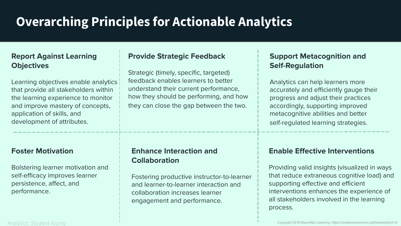# **Overarching Principles for Actionable Analytics**

### **Report Against Learning Objectives**

Learning objectives enable analytics that provide all stakeholders within the learning experience to monitor and improve mastery of concepts, application of skills, and development of attributes.

### **Foster Motivation**

Bolstering learner motivation and self-efficacy improves learner persistence, affect, and performance.

#### *Analytics: Student-facing*

### **Provide Strategic Feedback**

Strategic (timely, specific, targeted) feedback enables learners to better understand their current performance, how they should be performing, and how they can close the gap between the two.

### **Enhance Interaction and Collaboration**

Fostering productive instructor-to-learner and learner-to-learner interaction and collaboration increases learner engagement and performance.

### **Support Metacognition and Self-Regulation**

Analytics can help learners more accurately and efficiently gauge their progress and adjust their practices accordingly, supporting improved metacognitive abilities and better self-regulated learning strategies.

### **Enable Effective Interventions**

Providing valid insights (visualized in ways that reduce extraneous cognitive load) and supporting effective and efficient interventions enhances the experience of all stakeholders involved in the learning process.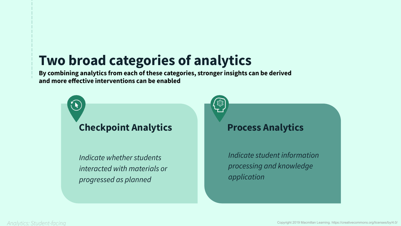# **Two broad categories of analytics**

**By combining analytics from each of these categories, stronger insights can be derived and more effective interventions can be enabled**

# **Checkpoint Analytics**

*Indicate whether students interacted with materials or progressed as planned*

# **Process Analytics**

*Indicate student information processing and knowledge application*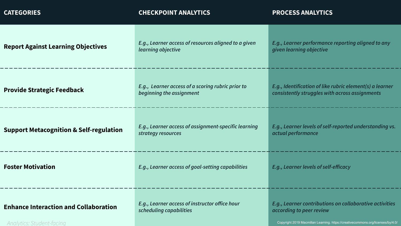| <b>CATEGORIES</b>                                                         | <b>CHECKPOINT ANALYTICS</b>                                                   | <b>PROCESS ANALYTICS</b>                                                                                                                                               |
|---------------------------------------------------------------------------|-------------------------------------------------------------------------------|------------------------------------------------------------------------------------------------------------------------------------------------------------------------|
| <b>Report Against Learning Objectives</b>                                 | E.g., Learner access of resources aligned to a given<br>learning objective    | E.g., Learner performance reporting aligned to any<br>given learning objective                                                                                         |
| <b>Provide Strategic Feedback</b>                                         | E.g., Learner access of a scoring rubric prior to<br>beginning the assignment | E.g., Identification of like rubric element(s) a learner<br>consistently struggles with across assignments                                                             |
| <b>Support Metacognition &amp; Self-regulation</b>                        | E.g., Learner access of assignment-specific learning<br>strategy resources    | E.g., Learner levels of self-reported understanding vs.<br>actual performance                                                                                          |
| <b>Foster Motivation</b>                                                  | E.g., Learner access of goal-setting capabilities                             | E.g., Learner levels of self-efficacy                                                                                                                                  |
| <b>Enhance Interaction and Collaboration</b><br>Analytics: Student-facing | E.g., Learner access of instructor office hour<br>scheduling capabilities     | E.g., Learner contributions on collaborative activities<br>according to peer review<br>Copyright 2019 Macmillan Learning. https://creativecommons.org/licenses/by/4.0/ |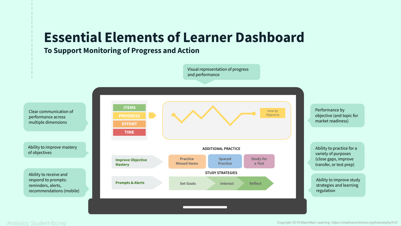# **Essential Elements of Learner Dashboard**

### **To Support Monitoring of Progress and Action**

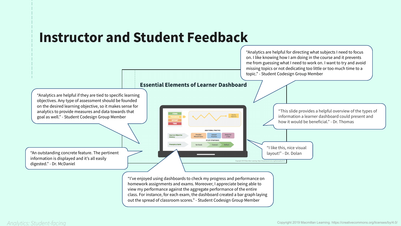# **Instructor and Student Feedback**

#### **Essential Elements of Learner Dashboard**

nprove Ob

Prompts & Alert

"Analytics are helpful if they are tied to specific learning objectives. Any type of assessment should be founded on the desired learning objective, so it makes sense for analytics to provide measures and data towards that goal as well." - Student Codesign Group Member

"An outstanding concrete feature. The pertinent layout!" - Dr. Dolan information is displayed and it's all easily digested." - Dr. McDaniel

"This slide provides a helpful overview of the types of information a learner dashboard could present and how it would be beneficial." - Dr. Thomas

"Analytics are helpful for directing what subjects I need to focus on. I like knowing how I am doing in the course and it prevents me from guessing what I need to work on. I want to try and avoid missing topics or not dedicating too little or too much time to a

topic." - Student Codesign Group Member

"I like this, nice visual

"I've enjoyed using dashboards to check my progress and performance on homework assignments and exams. Moreover, I appreciate being able to view my performance against the aggregate performance of the entire class. For instance, for each exam, the dashboard created a bar graph laying out the spread of classroom scores." - Student Codesign Group Member

Study fo<br>a Test

Practice STUDY STRATEGIE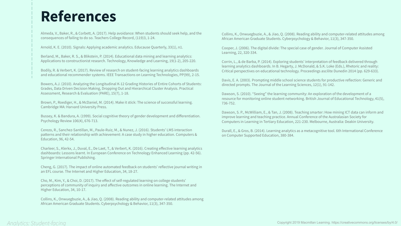# **References**

Almeda, V., Baker, R., & Corbett, A. (2017). Help avoidance: When students should seek help, and the consequences of failing to do so. Teachers College Record, (119)3, 1-24.

Arnold, K. E. (2010). Signals: Applying academic analytics. Educause Quarterly, 33(1), n1.

Berland, M., Baker, R. S., & Blikstein, P. (2014). Educational data mining and learning analytics: Applications to constructionist research. Technology, Knowledge and Learning, 19(1-2), 205-220.

Bodily, R. & Verbert, K. (2017). Review of research on student-facing learning analytics dashboards and educational recommender systems. IEEE Transactions on Learning Technologies, PP(99), 2-15.

Bowers, A.J. (2010). Analyzing the Longitudinal K-12 Grading Histories of Entire Cohorts of Students: Grades, Data Driven Decision Making, Dropping Out and Hierarchical Cluster Analysis. Practical Assessment, Research & Evaluation (PARE), 15(7), 1-18.

Brown, P., Roediger, H., & McDaniel, M. (2014). Make it stick: The science of successful learning. Cambridge MA: Harvard University Press.

Bussey, K. & Bandura, A. (1999). Social cognitive theory of gender development and differentiation. Psychology Review 106(4), 676-713.

Cerezo, R., Sanchez-Santillan, M., Paule-Ruiz, M., & Nunez, J. (2016). Students' LMS interaction patterns and their relationship with achievement: A case study in higher education. Computers & Education, 96, 42-54.

Charleer, S., Klerkx, J., Duval, E., De Laet, T., & Verbert, K. (2016). Creating effective learning analytics dashboards: Lessons learnt. In European Conference on Technology Enhanced Learning (pp. 42-56). Springer International Publishing.

Cheng, G. (2017). The impact of online automated feedback on students' reflective journal writing in an EFL course. The Internet and Higher Education, 34, 18-27.

Cho, M., Kim, Y., & Choi, D. (2017). The effect of self-regulated learning on college students' perceptions of community of inquiry and affective outcomes in online learning. The Internet and Higher Education, 34, 10-17.

Collins, K., Onwuegbuzie, A., & Jiao, Q. (2008). Reading ability and computer-related attitudes among African American Graduate Students. Cyberpsychology & Behavior, 11(3), 347-350.

Collins, K., Onwuegbuzie, A., & Jiao, Q. (2008). Reading ability and computer-related attitudes among African American Graduate Students. Cyberpsychology & Behavior, 11(3), 347-350.

Cooper, J. (2006). The digital divide: The special case of gender. Journal of Computer Assisted Learning, 22, 320-334.

Corrin, L., & de Barba, P. (2014). Exploring students' interpretation of feedback delivered through learning analytics dashboards. In B. Hegarty, J. McDonald, & S.K. Loke (Eds.), Rhetoric and reality: Critical perspectives on educational technology. Proceedings ascilite Dunedin 2014 (pp. 629-633).

Davis, E. A. (2003). Prompting middle school science students for productive reflection: Generic and directed prompts. The Journal of the Learning Sciences, 12(1), 91-142.

Dawson, S. (2010). "Seeing" the learning community: An exploration of the development of a resource for monitoring online student networking. British Journal of Educational Technology, 41(5), 736-752.

Dawson, S. P., McWilliam, E., & Tan, J. (2008). Teaching smarter: How mining ICT data can inform and improve learning and teaching practice. Annual Conference of the Australasian Society for Computers in Learning in Tertiary Education, 221-230. Melbourne, Australia: Deakin University.

Durall, E., & Gros, B. (2014). Learning analytics as a metacognitive tool. 6th International Conference on Computer Supported Education, 380-384.

#### *Analytics: Student-facing*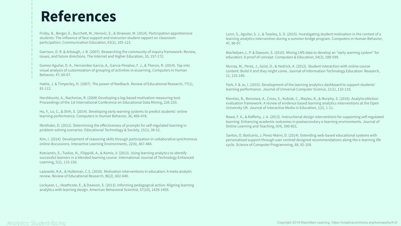# **References**

Frisby, B., Berger, E., Burchett, M., Herovic, E., & Strawser, M. (2014). Participation apprehensive students: The influence of face support and instructor-student rapport on classroom participation. Communication Education, 63(2), 105-123.

Garrison, D. R. & Arbaugh, J. B. (2007). Researching the community of inquiry framework: Review, issues, and future directions. The Internet and Higher Education, 10, 157-172.

Gomez-Aguilar, D. A., Hernandez-Garcia, A., Garcia-Penalvo, F. J., & Theron, R. (2014). Tap into visual analysis of customization of grouping of activities in eLearning. Computers in Human Behavior, 47, 60-67.

Hattie, J. & Timperley, H. (2007). The power of feedback. Review of Educational Research, 77(1), 81-112.

Hershkovitz, A., Nachmias, R. (2008) Developing a log-based motivation measuring tool. Proceedings of the 1st International Conference on Educational Data Mining, 226-233.

Hu, Y., Lo, C., & Shih, S. (2014). Developing early warning systems to predict students' online learning performance. Computers in Human Behavior, 36, 469-478.

Ifenthaler, D. (2012). Determining the effectiveness of prompts for self-regulated learning in problem-solving scenarios. Educational Technology & Society, 15(1), 38-52.

Kim, I. (2014). Development of reasoning skills through participation in collaborative synchronous online discussions. Interactive Learning Environments, 22(4), 467-484.

Kotsiantis, S., Tselios, N., Filippidi, A., & Komis, V. (2013). Using learning analytics to identify successful learners in a blended learning course. International Journal of Technology Enhanced Learning, 5(2), 133-150.

Lazowski, R.A., & Hulleman, C.S. (2016). Motivation interventions in education: A meta-analytic review. Review of Educational Research, 86(2), 602-640.

Lockyear, L., Heathcote, E., & Dawson, S. (2013). Informing pedagogical action: Aligning learning analytics with learning design. American Behavioral Scientist, 57(10), 1439-1459.

Lonn, S., Aguilar, S. J., & Teasley, S. D. (2015). Investigating student motivation in the context of a learning analytics intervention during a summer bridge program. Computers in Human Behavior, 47, 90-97.

Macfadyen, L. P. & Dawson, S. (2010). Mining LMS data to develop an "early warning system" for educators: A proof of concept. Computers & Education, 54(2), 588-599.

Murray, M., Perez, J., Geist, D., & Hedrick, A. (2012). Student interaction with online course content: Build it and they might come. Journal of Information Technology Education: Research, 11, 125-140.

Park, Y. & Jo, I. (2015). Development of the learning analytics dashboard to support students' learning performance. Journal of Universal Computer Science, 21(1), 110-133.

Rienties, B., Boroowa, A., Cross, S., Kubiak, C., Mayles, K., & Murphy, S. (2016). Analytics4Action evaluation framework: A review of evidence based learning analytics interventions at the Open University UK. Journal of Interactive Media in Education, 1(2), 1-11.

Rowe, F. A., & Rafferty, J. A. (2013). Instructional design interventions for supporting self-regulated learning: Enhancing academic outcomes in postsecondary e-learning environments. Journal of Online Learning and Teaching, 9(4), 590-601.

Santos, O. Boticario, J. Perez-Marin, D. (2014). Extending web-based educational systems with personalised support through user centred designed recommendations along the e-learning life cycle. Science of Computer Programming, 88, 92-109.

#### *Analytics: Student-facing*